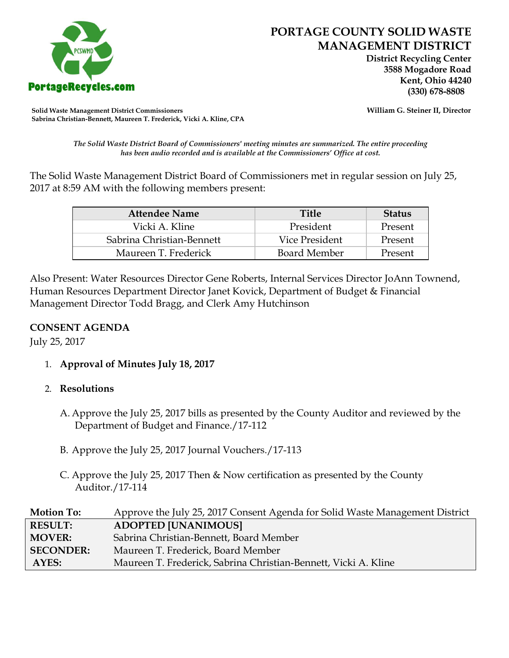

 **District Recycling Center 3588 Mogadore Road Kent, Ohio 44240**

**Solid Waste Management District Commissioners William G. Steiner II, Director Sabrina Christian-Bennett, Maureen T. Frederick, Vicki A. Kline, CPA**

*The Solid Waste District Board of Commissioners' meeting minutes are summarized. The entire proceeding has been audio recorded and is available at the Commissioners' Office at cost.*

The Solid Waste Management District Board of Commissioners met in regular session on July 25, 2017 at 8:59 AM with the following members present:

| <b>Attendee Name</b>      | <b>Title</b>        | <b>Status</b> |
|---------------------------|---------------------|---------------|
| Vicki A. Kline            | President           | Present       |
| Sabrina Christian-Bennett | Vice President      | Present       |
| Maureen T. Frederick      | <b>Board Member</b> | Present       |

Also Present: Water Resources Director Gene Roberts, Internal Services Director JoAnn Townend, Human Resources Department Director Janet Kovick, Department of Budget & Financial Management Director Todd Bragg, and Clerk Amy Hutchinson

## **CONSENT AGENDA**

July 25, 2017

1. **Approval of Minutes July 18, 2017**

## 2. **Resolutions**

- A. Approve the July 25, 2017 bills as presented by the County Auditor and reviewed by the Department of Budget and Finance./17-112
- B. Approve the July 25, 2017 Journal Vouchers./17-113
- C. Approve the July 25, 2017 Then & Now certification as presented by the County Auditor./17-114

| <b>Motion To:</b> | Approve the July 25, 2017 Consent Agenda for Solid Waste Management District |
|-------------------|------------------------------------------------------------------------------|
| <b>RESULT:</b>    | <b>ADOPTED [UNANIMOUS]</b>                                                   |
| <b>MOVER:</b>     | Sabrina Christian-Bennett, Board Member                                      |
| <b>SECONDER:</b>  | Maureen T. Frederick, Board Member                                           |
| AYES:             | Maureen T. Frederick, Sabrina Christian-Bennett, Vicki A. Kline              |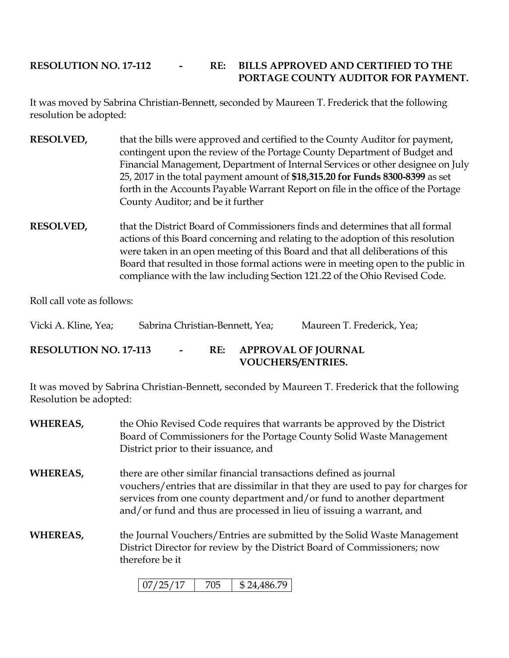## **RESOLUTION NO. 17-112 - RE: BILLS APPROVED AND CERTIFIED TO THE PORTAGE COUNTY AUDITOR FOR PAYMENT.**

It was moved by Sabrina Christian-Bennett, seconded by Maureen T. Frederick that the following resolution be adopted:

- **RESOLVED,** that the bills were approved and certified to the County Auditor for payment, contingent upon the review of the Portage County Department of Budget and Financial Management, Department of Internal Services or other designee on July 25, 2017 in the total payment amount of **\$18,315.20 for Funds 8300-8399** as set forth in the Accounts Payable Warrant Report on file in the office of the Portage County Auditor; and be it further
- **RESOLVED,** that the District Board of Commissioners finds and determines that all formal actions of this Board concerning and relating to the adoption of this resolution were taken in an open meeting of this Board and that all deliberations of this Board that resulted in those formal actions were in meeting open to the public in compliance with the law including Section 121.22 of the Ohio Revised Code.

Roll call vote as follows:

| Vicki A. Kline, Yea;         | Sabrina Christian-Bennett, Yea; |        |     |                          | Maureen T. Frederick, Yea; |
|------------------------------|---------------------------------|--------|-----|--------------------------|----------------------------|
| <b>RESOLUTION NO. 17-113</b> |                                 | $\sim$ | RE: | <b>VOUCHERS/ENTRIES.</b> | <b>APPROVAL OF JOURNAL</b> |

It was moved by Sabrina Christian-Bennett, seconded by Maureen T. Frederick that the following Resolution be adopted:

**WHEREAS,** the Ohio Revised Code requires that warrants be approved by the District Board of Commissioners for the Portage County Solid Waste Management District prior to their issuance, and **WHEREAS,** there are other similar financial transactions defined as journal vouchers/entries that are dissimilar in that they are used to pay for charges for services from one county department and/or fund to another department and/or fund and thus are processed in lieu of issuing a warrant, and **WHEREAS,** the Journal Vouchers/Entries are submitted by the Solid Waste Management District Director for review by the District Board of Commissioners; now therefore be it

| $\frac{107}{25}$ /17 |  | \$24.486.79 |
|----------------------|--|-------------|
|----------------------|--|-------------|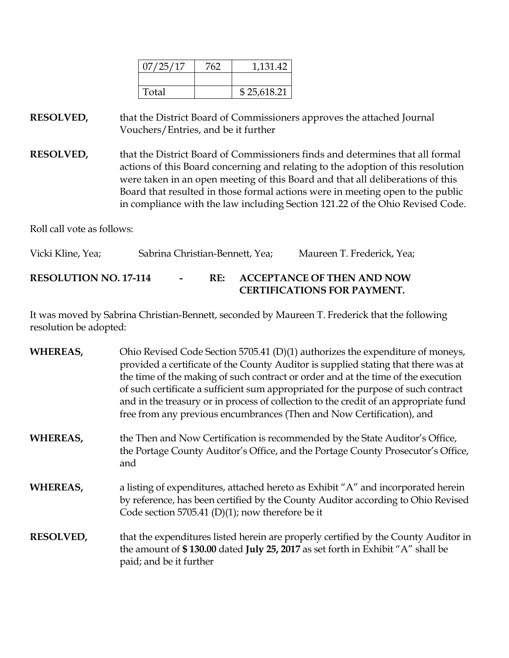| 07/25/17 | 762 | 1,131.42    |
|----------|-----|-------------|
|          |     |             |
| Total    |     | \$25,618.21 |

**RESOLVED,** that the District Board of Commissioners approves the attached Journal Vouchers/Entries, and be it further

**RESOLVED,** that the District Board of Commissioners finds and determines that all formal actions of this Board concerning and relating to the adoption of this resolution were taken in an open meeting of this Board and that all deliberations of this Board that resulted in those formal actions were in meeting open to the public in compliance with the law including Section 121.22 of the Ohio Revised Code.

Roll call vote as follows:

Vicki Kline, Yea; Sabrina Christian-Bennett, Yea; Maureen T. Frederick, Yea; **RESOLUTION NO. 17-114 - RE: ACCEPTANCE OF THEN AND NOW CERTIFICATIONS FOR PAYMENT.**

It was moved by Sabrina Christian-Bennett, seconded by Maureen T. Frederick that the following resolution be adopted:

| <b>WHEREAS,</b>  | Ohio Revised Code Section 5705.41 (D)(1) authorizes the expenditure of moneys,<br>provided a certificate of the County Auditor is supplied stating that there was at<br>the time of the making of such contract or order and at the time of the execution<br>of such certificate a sufficient sum appropriated for the purpose of such contract<br>and in the treasury or in process of collection to the credit of an appropriate fund<br>free from any previous encumbrances (Then and Now Certification), and |
|------------------|------------------------------------------------------------------------------------------------------------------------------------------------------------------------------------------------------------------------------------------------------------------------------------------------------------------------------------------------------------------------------------------------------------------------------------------------------------------------------------------------------------------|
| <b>WHEREAS,</b>  | the Then and Now Certification is recommended by the State Auditor's Office,<br>the Portage County Auditor's Office, and the Portage County Prosecutor's Office,<br>and                                                                                                                                                                                                                                                                                                                                          |
| <b>WHEREAS,</b>  | a listing of expenditures, attached hereto as Exhibit "A" and incorporated herein<br>by reference, has been certified by the County Auditor according to Ohio Revised<br>Code section 5705.41 (D)(1); now therefore be it                                                                                                                                                                                                                                                                                        |
| <b>RESOLVED,</b> | that the expenditures listed herein are properly certified by the County Auditor in<br>the amount of \$130.00 dated July 25, 2017 as set forth in Exhibit "A" shall be<br>paid; and be it further                                                                                                                                                                                                                                                                                                                |